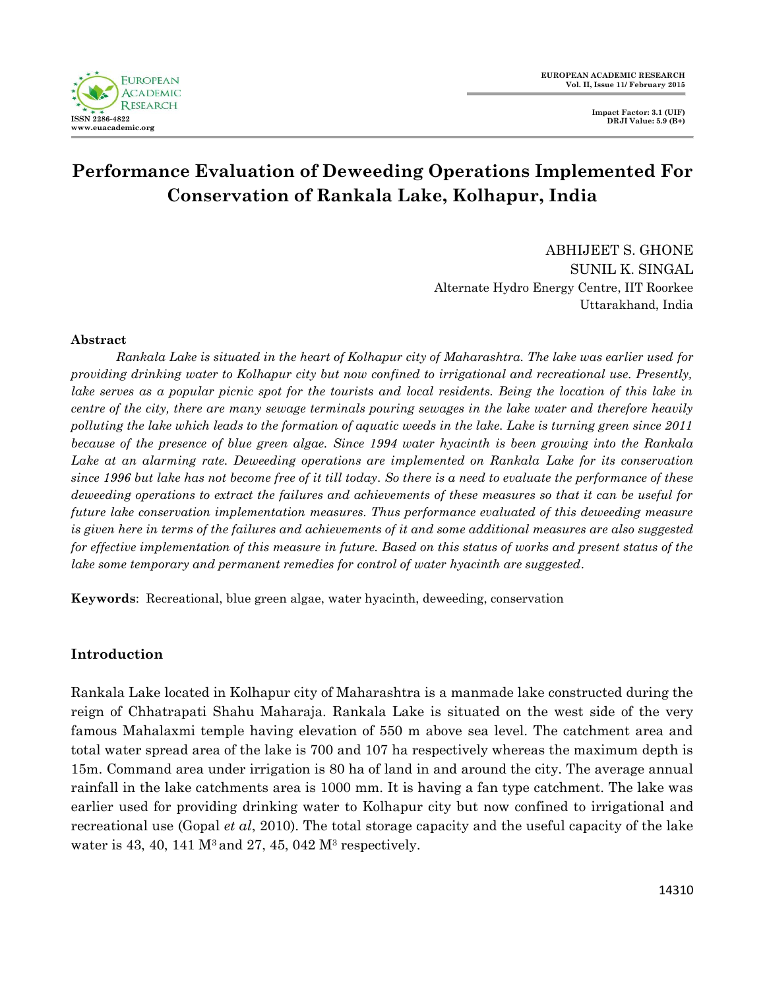

# **Performance Evaluation of Deweeding Operations Implemented For Conservation of Rankala Lake, Kolhapur, India**

ABHIJEET S. GHONE SUNIL K. SINGAL Alternate Hydro Energy Centre, IIT Roorkee Uttarakhand, India

#### **Abstract**

*Rankala Lake is situated in the heart of Kolhapur city of Maharashtra. The lake was earlier used for providing drinking water to Kolhapur city but now confined to irrigational and recreational use. Presently, lake serves as a popular picnic spot for the tourists and local residents. Being the location of this lake in centre of the city, there are many sewage terminals pouring sewages in the lake water and therefore heavily polluting the lake which leads to the formation of aquatic weeds in the lake. Lake is turning green since 2011 because of the presence of blue green algae. Since 1994 water hyacinth is been growing into the Rankala Lake at an alarming rate. Deweeding operations are implemented on Rankala Lake for its conservation since 1996 but lake has not become free of it till today. So there is a need to evaluate the performance of these deweeding operations to extract the failures and achievements of these measures so that it can be useful for future lake conservation implementation measures. Thus performance evaluated of this deweeding measure is given here in terms of the failures and achievements of it and some additional measures are also suggested for effective implementation of this measure in future. Based on this status of works and present status of the lake some temporary and permanent remedies for control of water hyacinth are suggested.* 

**Keywords**: Recreational, blue green algae, water hyacinth, deweeding, conservation

#### **Introduction**

Rankala Lake located in Kolhapur city of Maharashtra is a manmade lake constructed during the reign of Chhatrapati Shahu Maharaja. Rankala Lake is situated on the west side of the very famous Mahalaxmi temple having elevation of 550 m above sea level. The catchment area and total water spread area of the lake is 700 and 107 ha respectively whereas the maximum depth is 15m. Command area under irrigation is 80 ha of land in and around the city. The average annual rainfall in the lake catchments area is 1000 mm. It is having a fan type catchment. The lake was earlier used for providing drinking water to Kolhapur city but now confined to irrigational and recreational use (Gopal *et al*, 2010). The total storage capacity and the useful capacity of the lake water is 43, 40, 141  $M^3$  and 27, 45, 042  $M^3$  respectively.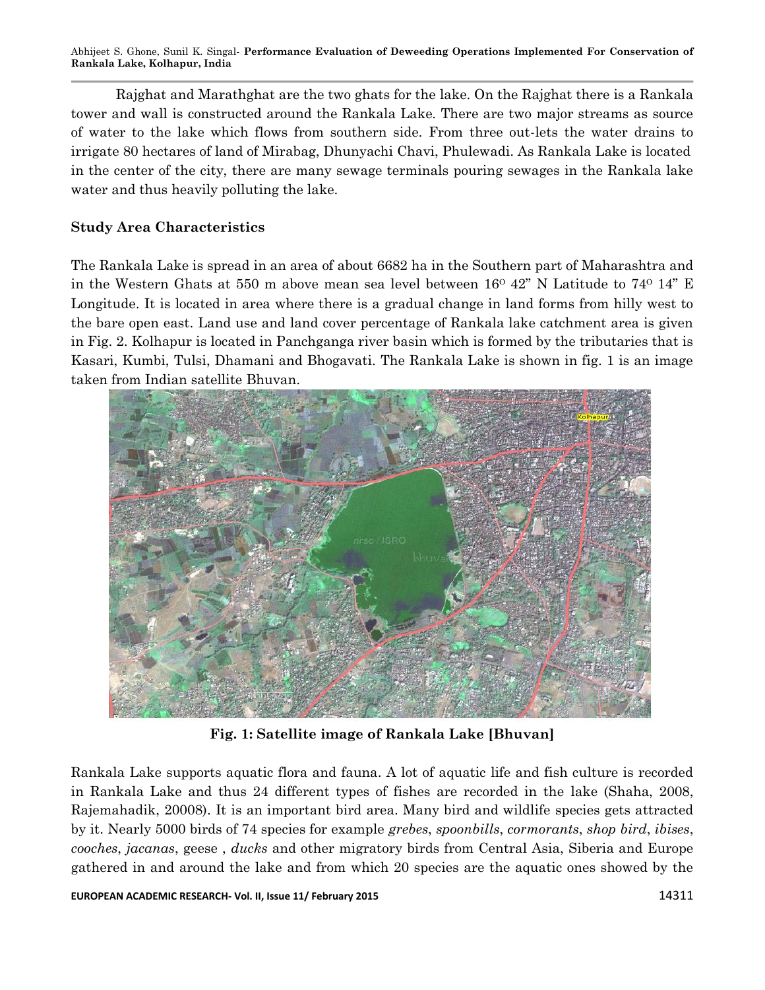Rajghat and Marathghat are the two ghats for the lake. On the Rajghat there is a Rankala tower and wall is constructed around the Rankala Lake. There are two major streams as source of water to the lake which flows from southern side. From three out-lets the water drains to irrigate 80 hectares of land of Mirabag, Dhunyachi Chavi, Phulewadi. As Rankala Lake is located in the center of the city, there are many sewage terminals pouring sewages in the Rankala lake water and thus heavily polluting the lake.

## **Study Area Characteristics**

The Rankala Lake is spread in an area of about 6682 ha in the Southern part of Maharashtra and in the Western Ghats at 550 m above mean sea level between  $16^{\circ}$  42" N Latitude to 74 $^{\circ}$  14" E Longitude. It is located in area where there is a gradual change in land forms from hilly west to the bare open east. Land use and land cover percentage of Rankala lake catchment area is given in Fig. 2. Kolhapur is located in Panchganga river basin which is formed by the tributaries that is Kasari, Kumbi, Tulsi, Dhamani and Bhogavati. The Rankala Lake is shown in fig. 1 is an image taken from Indian satellite Bhuvan.



**Fig. 1: Satellite image of Rankala Lake [Bhuvan]**

Rankala Lake supports aquatic flora and fauna. A lot of aquatic life and fish culture is recorded in Rankala Lake and thus 24 different types of fishes are recorded in the lake (Shaha, 2008, Rajemahadik, 20008). It is an important bird area. Many bird and wildlife species gets attracted by it. Nearly 5000 birds of 74 species for example *grebes*, *spoonbills*, *cormorants*, *shop bird*, *ibises*, *cooches*, *jacanas*, geese , *ducks* and other migratory birds from Central Asia, Siberia and Europe gathered in and around the lake and from which 20 species are the aquatic ones showed by the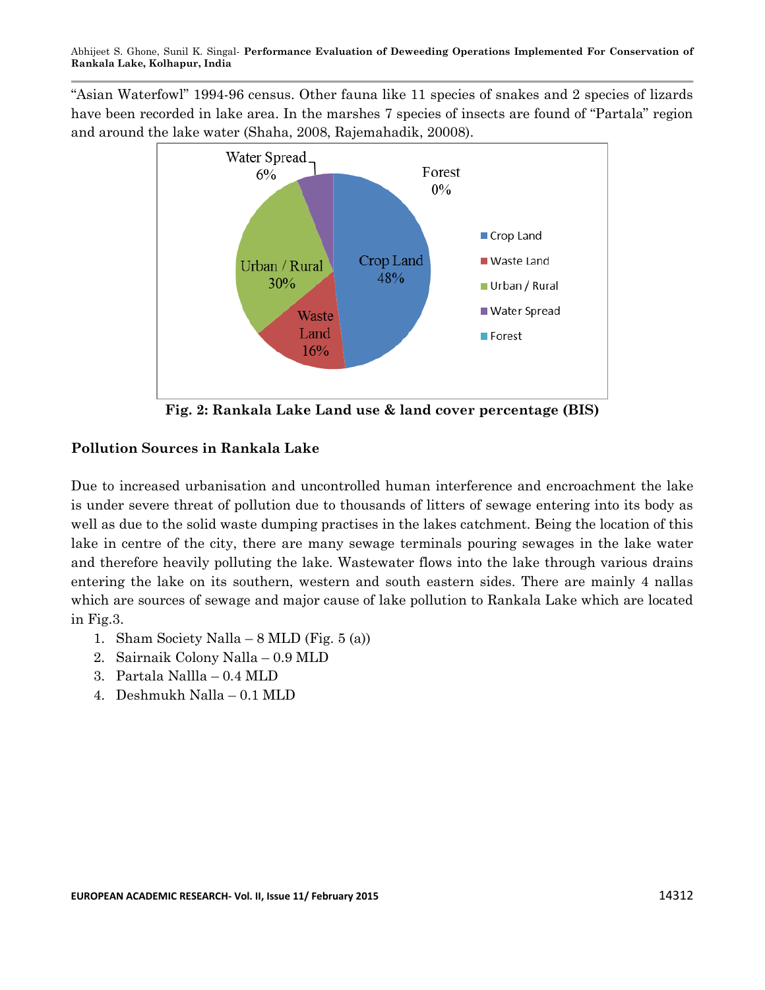"Asian Waterfowl" 1994-96 census. Other fauna like 11 species of snakes and 2 species of lizards have been recorded in lake area. In the marshes 7 species of insects are found of "Partala" region and around the lake water (Shaha, 2008, Rajemahadik, 20008).



**Fig. 2: Rankala Lake Land use & land cover percentage (BIS)**

# **Pollution Sources in Rankala Lake**

Due to increased urbanisation and uncontrolled human interference and encroachment the lake is under severe threat of pollution due to thousands of litters of sewage entering into its body as well as due to the solid waste dumping practises in the lakes catchment. Being the location of this lake in centre of the city, there are many sewage terminals pouring sewages in the lake water and therefore heavily polluting the lake. Wastewater flows into the lake through various drains entering the lake on its southern, western and south eastern sides. There are mainly 4 nallas which are sources of sewage and major cause of lake pollution to Rankala Lake which are located in Fig.3.

- 1. Sham Society Nalla  $8$  MLD (Fig. 5 (a))
- 2. Sairnaik Colony Nalla 0.9 MLD
- 3. Partala Nallla 0.4 MLD
- 4. Deshmukh Nalla 0.1 MLD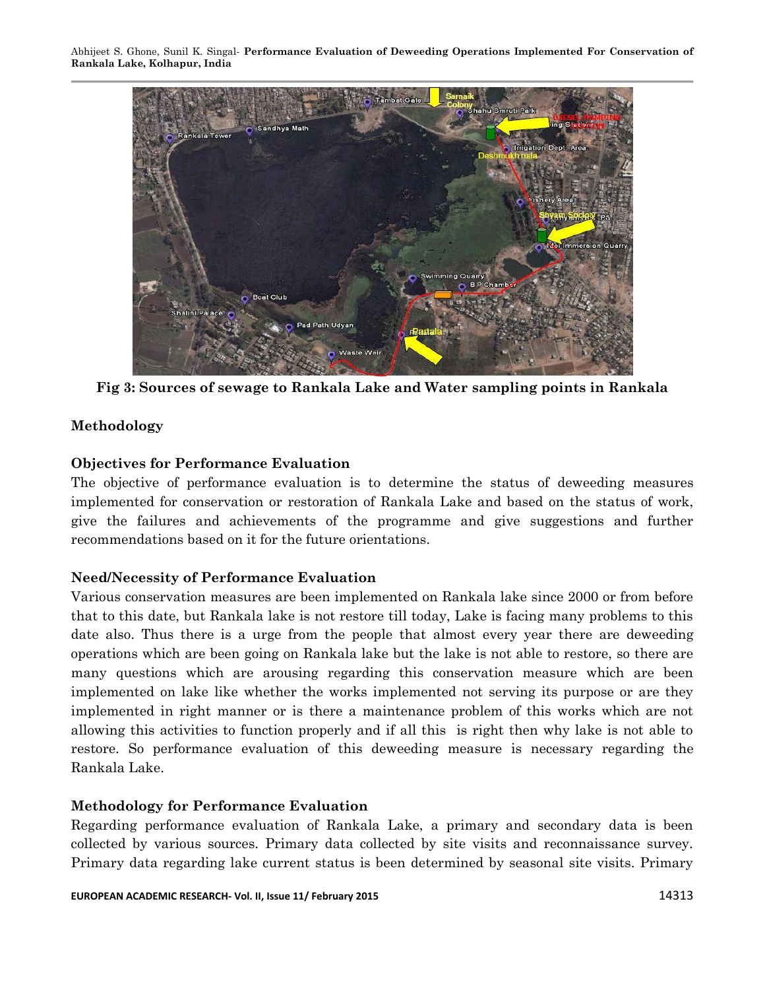

**Fig 3: Sources of sewage to Rankala Lake and Water sampling points in Rankala**

### **Methodology**

### **Objectives for Performance Evaluation**

The objective of performance evaluation is to determine the status of deweeding measures implemented for conservation or restoration of Rankala Lake and based on the status of work, give the failures and achievements of the programme and give suggestions and further recommendations based on it for the future orientations.

### **Need/Necessity of Performance Evaluation**

Various conservation measures are been implemented on Rankala lake since 2000 or from before that to this date, but Rankala lake is not restore till today, Lake is facing many problems to this date also. Thus there is a urge from the people that almost every year there are deweeding operations which are been going on Rankala lake but the lake is not able to restore, so there are many questions which are arousing regarding this conservation measure which are been implemented on lake like whether the works implemented not serving its purpose or are they implemented in right manner or is there a maintenance problem of this works which are not allowing this activities to function properly and if all this is right then why lake is not able to restore. So performance evaluation of this deweeding measure is necessary regarding the Rankala Lake.

#### **Methodology for Performance Evaluation**

Regarding performance evaluation of Rankala Lake, a primary and secondary data is been collected by various sources. Primary data collected by site visits and reconnaissance survey. Primary data regarding lake current status is been determined by seasonal site visits. Primary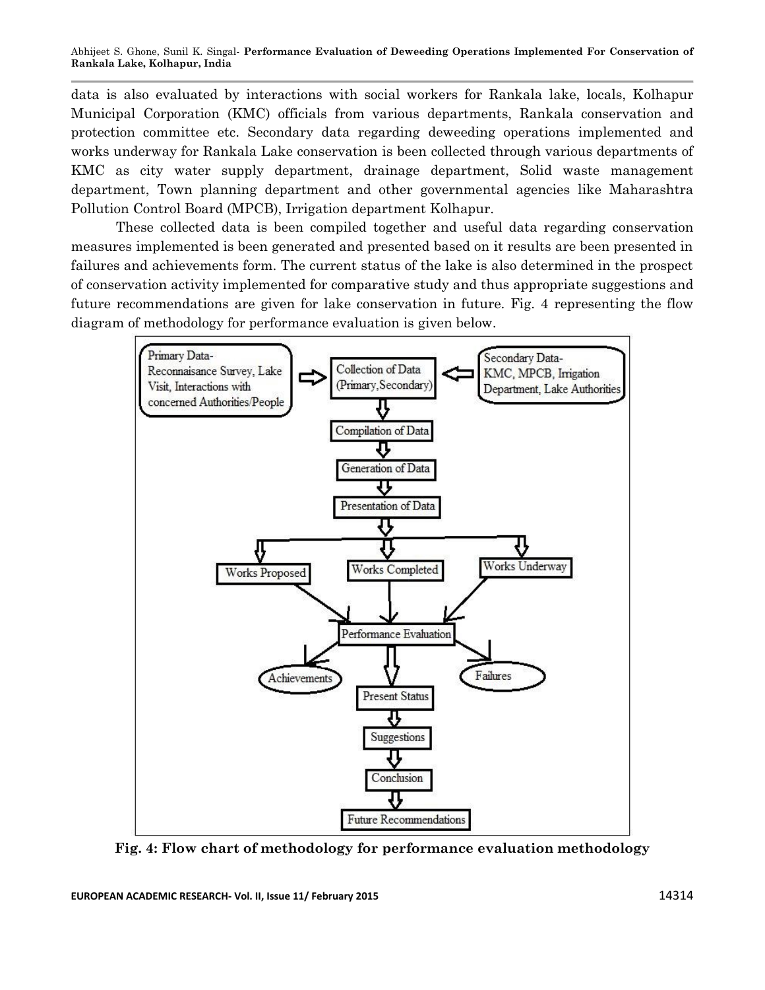data is also evaluated by interactions with social workers for Rankala lake, locals, Kolhapur Municipal Corporation (KMC) officials from various departments, Rankala conservation and protection committee etc. Secondary data regarding deweeding operations implemented and works underway for Rankala Lake conservation is been collected through various departments of KMC as city water supply department, drainage department, Solid waste management department, Town planning department and other governmental agencies like Maharashtra Pollution Control Board (MPCB), Irrigation department Kolhapur.

These collected data is been compiled together and useful data regarding conservation measures implemented is been generated and presented based on it results are been presented in failures and achievements form. The current status of the lake is also determined in the prospect of conservation activity implemented for comparative study and thus appropriate suggestions and future recommendations are given for lake conservation in future. Fig. 4 representing the flow diagram of methodology for performance evaluation is given below.



**Fig. 4: Flow chart of methodology for performance evaluation methodology**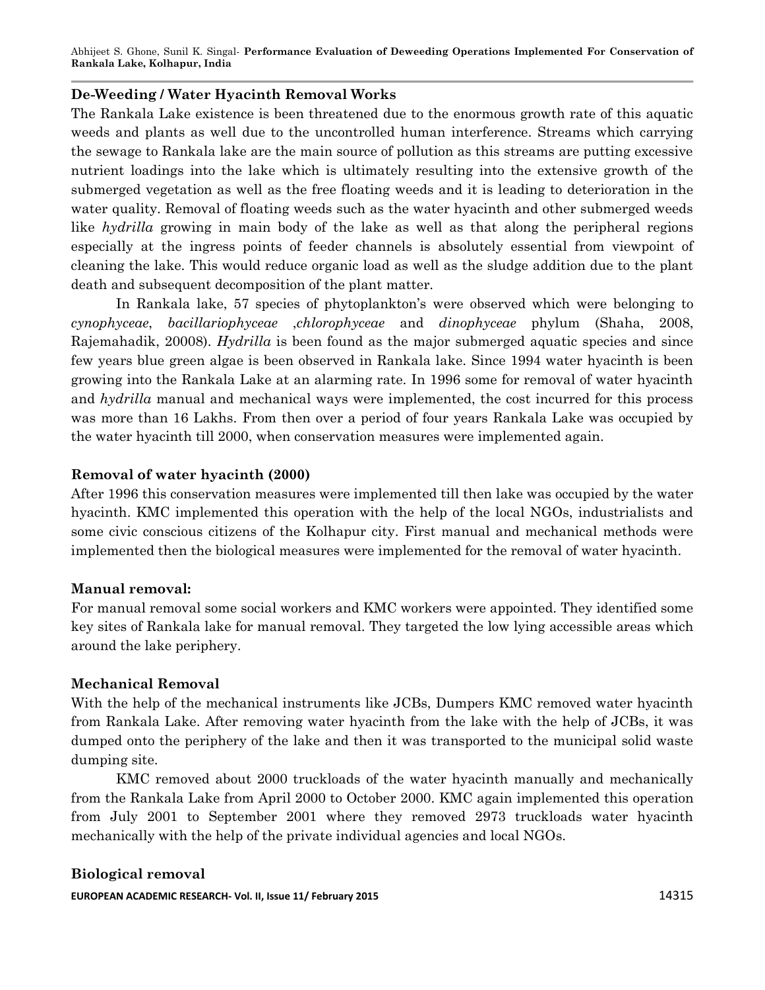#### **De-Weeding / Water Hyacinth Removal Works**

The Rankala Lake existence is been threatened due to the enormous growth rate of this aquatic weeds and plants as well due to the uncontrolled human interference. Streams which carrying the sewage to Rankala lake are the main source of pollution as this streams are putting excessive nutrient loadings into the lake which is ultimately resulting into the extensive growth of the submerged vegetation as well as the free floating weeds and it is leading to deterioration in the water quality. Removal of floating weeds such as the water hyacinth and other submerged weeds like *hydrilla* growing in main body of the lake as well as that along the peripheral regions especially at the ingress points of feeder channels is absolutely essential from viewpoint of cleaning the lake. This would reduce organic load as well as the sludge addition due to the plant death and subsequent decomposition of the plant matter.

In Rankala lake, 57 species of phytoplankton's were observed which were belonging to *cynophyceae*, *bacillariophyceae* ,*chlorophyceae* and *dinophyceae* phylum (Shaha, 2008, Rajemahadik, 20008). *Hydrilla* is been found as the major submerged aquatic species and since few years blue green algae is been observed in Rankala lake. Since 1994 water hyacinth is been growing into the Rankala Lake at an alarming rate. In 1996 some for removal of water hyacinth and *hydrilla* manual and mechanical ways were implemented, the cost incurred for this process was more than 16 Lakhs. From then over a period of four years Rankala Lake was occupied by the water hyacinth till 2000, when conservation measures were implemented again.

#### **Removal of water hyacinth (2000)**

After 1996 this conservation measures were implemented till then lake was occupied by the water hyacinth. KMC implemented this operation with the help of the local NGOs, industrialists and some civic conscious citizens of the Kolhapur city. First manual and mechanical methods were implemented then the biological measures were implemented for the removal of water hyacinth.

#### **Manual removal:**

For manual removal some social workers and KMC workers were appointed. They identified some key sites of Rankala lake for manual removal. They targeted the low lying accessible areas which around the lake periphery.

#### **Mechanical Removal**

With the help of the mechanical instruments like JCBs, Dumpers KMC removed water hyacinth from Rankala Lake. After removing water hyacinth from the lake with the help of JCBs, it was dumped onto the periphery of the lake and then it was transported to the municipal solid waste dumping site.

KMC removed about 2000 truckloads of the water hyacinth manually and mechanically from the Rankala Lake from April 2000 to October 2000. KMC again implemented this operation from July 2001 to September 2001 where they removed 2973 truckloads water hyacinth mechanically with the help of the private individual agencies and local NGOs.

### **Biological removal**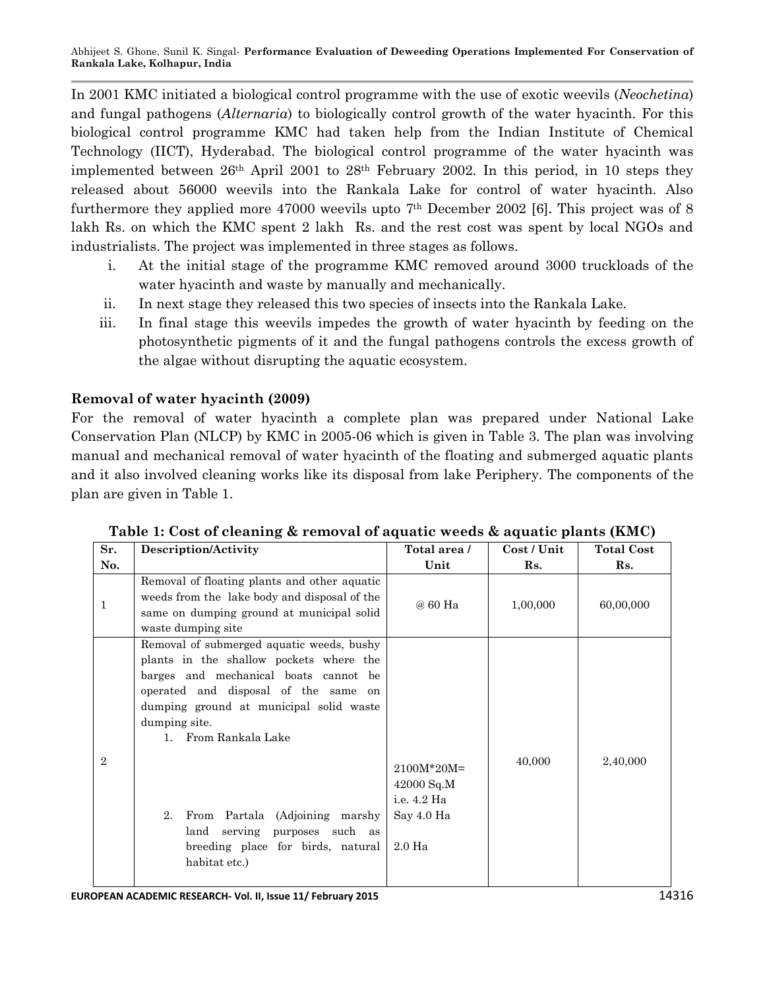In 2001 KMC initiated a biological control programme with the use of exotic weevils (*Neochetina*) and fungal pathogens (*Alternaria*) to biologically control growth of the water hyacinth. For this biological control programme KMC had taken help from the Indian Institute of Chemical Technology (IICT), Hyderabad. The biological control programme of the water hyacinth was implemented between  $26<sup>th</sup>$  April 2001 to  $28<sup>th</sup>$  February 2002. In this period, in 10 steps they released about 56000 weevils into the Rankala Lake for control of water hyacinth. Also furthermore they applied more 47000 weevils upto  $7<sup>th</sup>$  December 2002 [6]. This project was of 8 lakh Rs. on which the KMC spent 2 lakh Rs. and the rest cost was spent by local NGOs and industrialists. The project was implemented in three stages as follows.

- i. At the initial stage of the programme KMC removed around 3000 truckloads of the water hyacinth and waste by manually and mechanically.
- ii. In next stage they released this two species of insects into the Rankala Lake.
- iii. In final stage this weevils impedes the growth of water hyacinth by feeding on the photosynthetic pigments of it and the fungal pathogens controls the excess growth of the algae without disrupting the aquatic ecosystem.

# **Removal of water hyacinth (2009)**

For the removal of water hyacinth a complete plan was prepared under National Lake Conservation Plan (NLCP) by KMC in 2005-06 which is given in Table 3. The plan was involving manual and mechanical removal of water hyacinth of the floating and submerged aquatic plants and it also involved cleaning works like its disposal from lake Periphery. The components of the plan are given in Table 1.

| Sr.            | Description/Activity                                                                                                                                                                                                                                                                                                                                                                             | Total area /                                                                 | Cost / Unit | <b>Total Cost</b> |
|----------------|--------------------------------------------------------------------------------------------------------------------------------------------------------------------------------------------------------------------------------------------------------------------------------------------------------------------------------------------------------------------------------------------------|------------------------------------------------------------------------------|-------------|-------------------|
| No.            |                                                                                                                                                                                                                                                                                                                                                                                                  | Unit                                                                         | Rs.         | Rs.               |
| 1              | Removal of floating plants and other aquatic<br>weeds from the lake body and disposal of the<br>same on dumping ground at municipal solid<br>waste dumping site                                                                                                                                                                                                                                  | @ 60 Ha                                                                      | 1,00,000    | 60,00,000         |
| $\overline{2}$ | Removal of submerged aquatic weeds, bushy<br>plants in the shallow pockets where the<br>barges and mechanical boats cannot be<br>operated and disposal of the same on<br>dumping ground at municipal solid waste<br>dumping site.<br>1. From Rankala Lake<br>From Partala (Adjoining marshy<br>$2_{-}$<br>serving purposes such as<br>land<br>breeding place for birds, natural<br>habitat etc.) | $2100M*20M=$<br>42000 Sq.M<br>i.e. 4.2 Ha<br>Say 4.0 Ha<br>2.0 <sub>Ha</sub> | 40,000      | 2,40,000          |

**Table 1: Cost of cleaning & removal of aquatic weeds & aquatic plants (KMC)**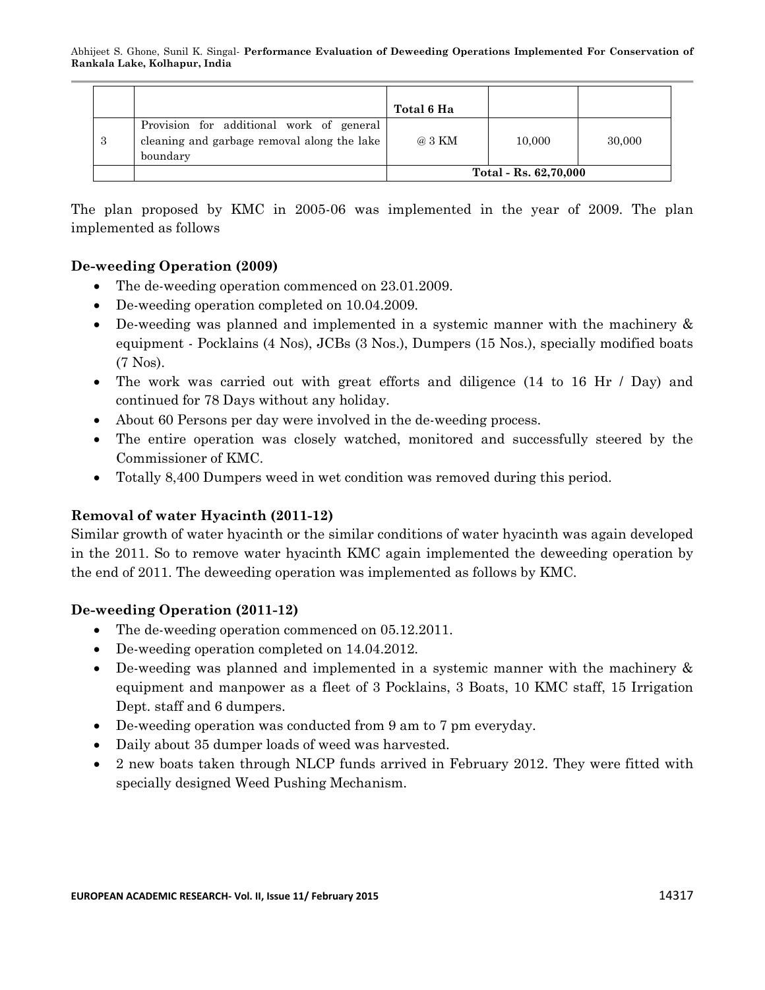|    |                                                                                                     | Total 6 Ha            |        |        |
|----|-----------------------------------------------------------------------------------------------------|-----------------------|--------|--------|
| -3 | Provision for additional work of general<br>cleaning and garbage removal along the lake<br>boundary | @ 3 KM                | 10,000 | 30,000 |
|    |                                                                                                     | Total - Rs. 62,70,000 |        |        |

The plan proposed by KMC in 2005-06 was implemented in the year of 2009. The plan implemented as follows

# **De-weeding Operation (2009)**

- The de-weeding operation commenced on 23.01.2009.
- De-weeding operation completed on 10.04.2009.
- De-weeding was planned and implemented in a systemic manner with the machinery & equipment - Pocklains (4 Nos), JCBs (3 Nos.), Dumpers (15 Nos.), specially modified boats (7 Nos).
- The work was carried out with great efforts and diligence (14 to 16 Hr / Day) and continued for 78 Days without any holiday.
- About 60 Persons per day were involved in the de-weeding process.
- The entire operation was closely watched, monitored and successfully steered by the Commissioner of KMC.
- Totally 8,400 Dumpers weed in wet condition was removed during this period.

# **Removal of water Hyacinth (2011-12)**

Similar growth of water hyacinth or the similar conditions of water hyacinth was again developed in the 2011. So to remove water hyacinth KMC again implemented the deweeding operation by the end of 2011. The deweeding operation was implemented as follows by KMC.

### **De-weeding Operation (2011-12)**

- The de-weeding operation commenced on 05.12.2011.
- De-weeding operation completed on 14.04.2012.
- De-weeding was planned and implemented in a systemic manner with the machinery & equipment and manpower as a fleet of 3 Pocklains, 3 Boats, 10 KMC staff, 15 Irrigation Dept. staff and 6 dumpers.
- De-weeding operation was conducted from 9 am to 7 pm everyday.
- Daily about 35 dumper loads of weed was harvested.
- 2 new boats taken through NLCP funds arrived in February 2012. They were fitted with specially designed Weed Pushing Mechanism.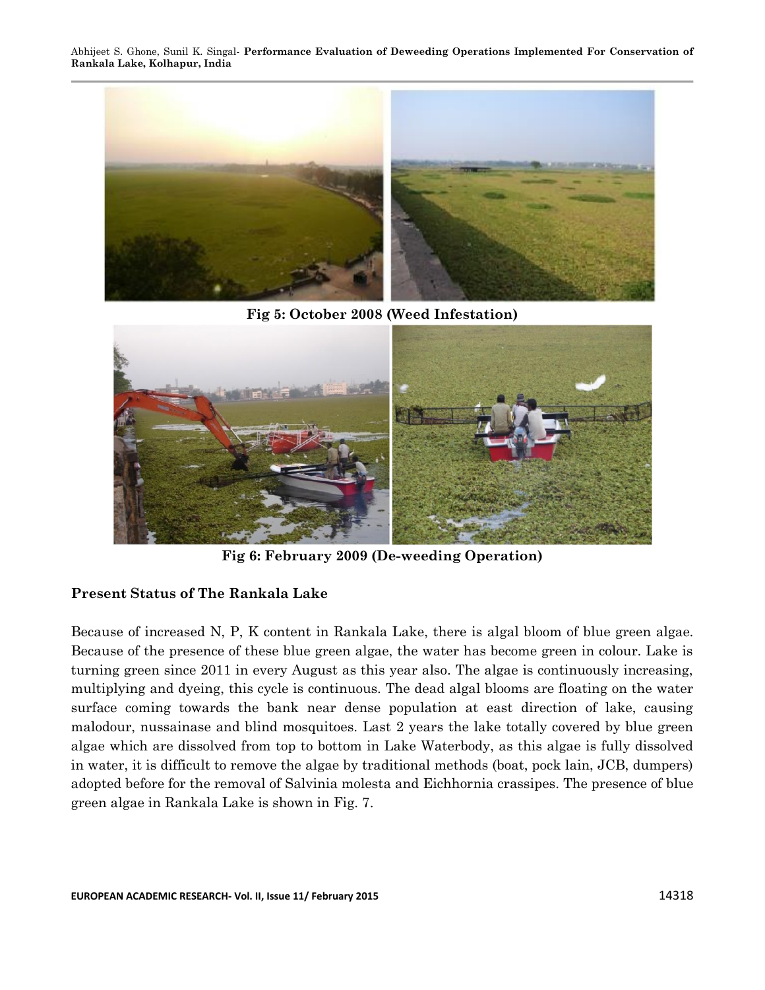

**Fig 5: October 2008 (Weed Infestation)**



**Fig 6: February 2009 (De-weeding Operation)**

### **Present Status of The Rankala Lake**

Because of increased N, P, K content in Rankala Lake, there is algal bloom of blue green algae. Because of the presence of these blue green algae, the water has become green in colour. Lake is turning green since 2011 in every August as this year also. The algae is continuously increasing, multiplying and dyeing, this cycle is continuous. The dead algal blooms are floating on the water surface coming towards the bank near dense population at east direction of lake, causing malodour, nussainase and blind mosquitoes. Last 2 years the lake totally covered by blue green algae which are dissolved from top to bottom in Lake Waterbody, as this algae is fully dissolved in water, it is difficult to remove the algae by traditional methods (boat, pock lain, JCB, dumpers) adopted before for the removal of Salvinia molesta and Eichhornia crassipes. The presence of blue green algae in Rankala Lake is shown in Fig. 7.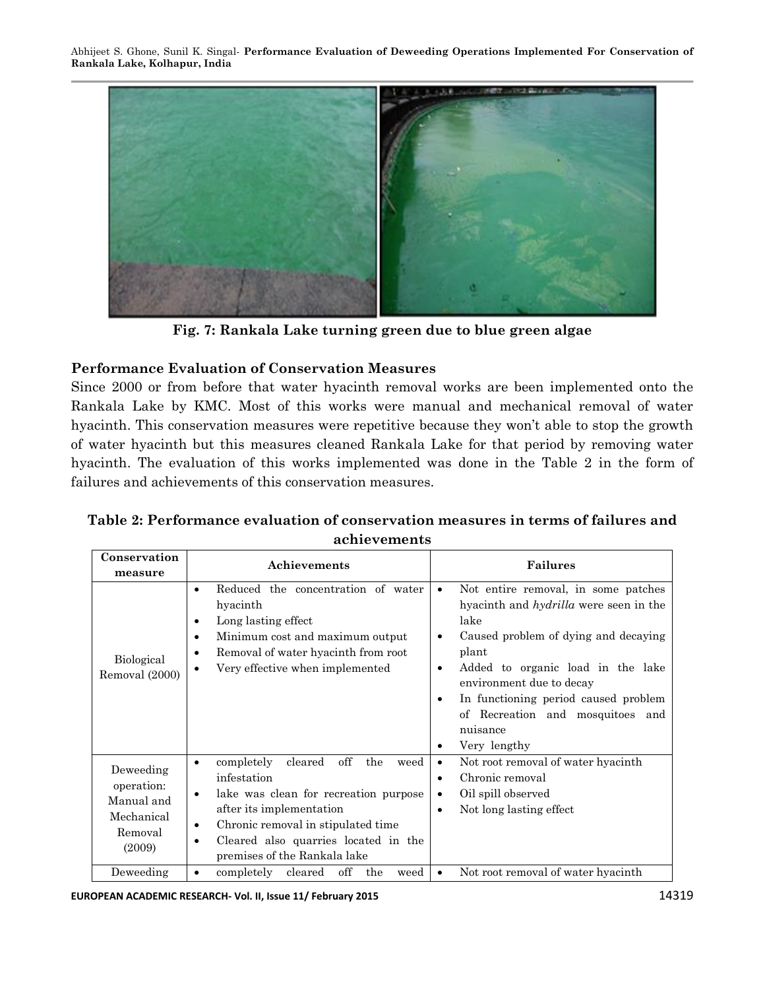

**Fig. 7: Rankala Lake turning green due to blue green algae**

# **Performance Evaluation of Conservation Measures**

Since 2000 or from before that water hyacinth removal works are been implemented onto the Rankala Lake by KMC. Most of this works were manual and mechanical removal of water hyacinth. This conservation measures were repetitive because they won't able to stop the growth of water hyacinth but this measures cleaned Rankala Lake for that period by removing water hyacinth. The evaluation of this works implemented was done in the Table 2 in the form of failures and achievements of this conservation measures.

| Conservation                                                             | Achievements                                                                                                                                                                                                                                                                              | <b>Failures</b>                                                                                                                                                                                                                                                                                                                                                    |  |
|--------------------------------------------------------------------------|-------------------------------------------------------------------------------------------------------------------------------------------------------------------------------------------------------------------------------------------------------------------------------------------|--------------------------------------------------------------------------------------------------------------------------------------------------------------------------------------------------------------------------------------------------------------------------------------------------------------------------------------------------------------------|--|
| measure                                                                  |                                                                                                                                                                                                                                                                                           |                                                                                                                                                                                                                                                                                                                                                                    |  |
| Biological<br>Removal (2000)                                             | Reduced the concentration of water<br>hyacinth<br>Long lasting effect<br>٠<br>Minimum cost and maximum output<br>$\bullet$<br>Removal of water hyacinth from root<br>٠<br>Very effective when implemented<br>٠                                                                            | Not entire removal, in some patches<br>$\bullet$<br>hyacinth and <i>hydrilla</i> were seen in the<br>lake<br>Caused problem of dying and decaying<br>$\bullet$<br>plant<br>Added to organic load in the lake<br>$\bullet$<br>environment due to decay<br>In functioning period caused problem<br>٠<br>of Recreation and mosquitoes and<br>nuisance<br>Very lengthy |  |
| Deweeding<br>operation:<br>Manual and<br>Mechanical<br>Removal<br>(2009) | off<br>completely<br>cleared<br>the<br>weed<br>$\bullet$<br>infestation<br>lake was clean for recreation purpose<br>$\bullet$<br>after its implementation<br>Chronic removal in stipulated time<br>$\bullet$<br>Cleared also quarries located in the<br>٠<br>premises of the Rankala lake | Not root removal of water hyacinth<br>$\bullet$<br>Chronic removal<br>$\bullet$<br>Oil spill observed<br>$\bullet$<br>Not long lasting effect<br>$\bullet$                                                                                                                                                                                                         |  |
| Deweeding                                                                | off<br>the<br>completely<br>cleared<br>weed<br>$\bullet$                                                                                                                                                                                                                                  | Not root removal of water hyacinth<br>$\bullet$                                                                                                                                                                                                                                                                                                                    |  |

**Table 2: Performance evaluation of conservation measures in terms of failures and achievements**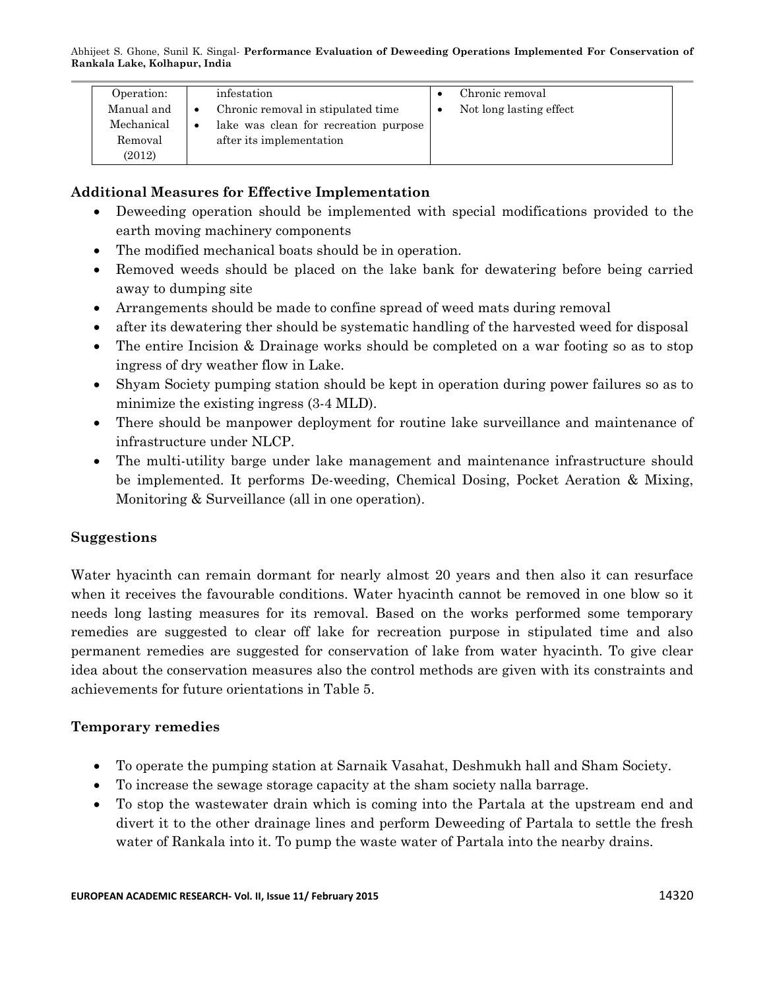| Operation: | infestation                                        | Chronic removal         |
|------------|----------------------------------------------------|-------------------------|
| Manual and | Chronic removal in stipulated time<br>$\bullet$    | Not long lasting effect |
| Mechanical | lake was clean for recreation purpose<br>$\bullet$ |                         |
| Removal    | after its implementation                           |                         |
| (2012)     |                                                    |                         |

# **Additional Measures for Effective Implementation**

- Deweeding operation should be implemented with special modifications provided to the earth moving machinery components
- The modified mechanical boats should be in operation.
- Removed weeds should be placed on the lake bank for dewatering before being carried away to dumping site
- Arrangements should be made to confine spread of weed mats during removal
- after its dewatering ther should be systematic handling of the harvested weed for disposal
- The entire Incision & Drainage works should be completed on a war footing so as to stop ingress of dry weather flow in Lake.
- Shyam Society pumping station should be kept in operation during power failures so as to minimize the existing ingress (3-4 MLD).
- There should be manpower deployment for routine lake surveillance and maintenance of infrastructure under NLCP.
- The multi-utility barge under lake management and maintenance infrastructure should be implemented. It performs De-weeding, Chemical Dosing, Pocket Aeration & Mixing, Monitoring & Surveillance (all in one operation).

# **Suggestions**

Water hyacinth can remain dormant for nearly almost 20 years and then also it can resurface when it receives the favourable conditions. Water hyacinth cannot be removed in one blow so it needs long lasting measures for its removal. Based on the works performed some temporary remedies are suggested to clear off lake for recreation purpose in stipulated time and also permanent remedies are suggested for conservation of lake from water hyacinth. To give clear idea about the conservation measures also the control methods are given with its constraints and achievements for future orientations in Table 5.

# **Temporary remedies**

- To operate the pumping station at Sarnaik Vasahat, Deshmukh hall and Sham Society.
- To increase the sewage storage capacity at the sham society nalla barrage.
- To stop the wastewater drain which is coming into the Partala at the upstream end and divert it to the other drainage lines and perform Deweeding of Partala to settle the fresh water of Rankala into it. To pump the waste water of Partala into the nearby drains.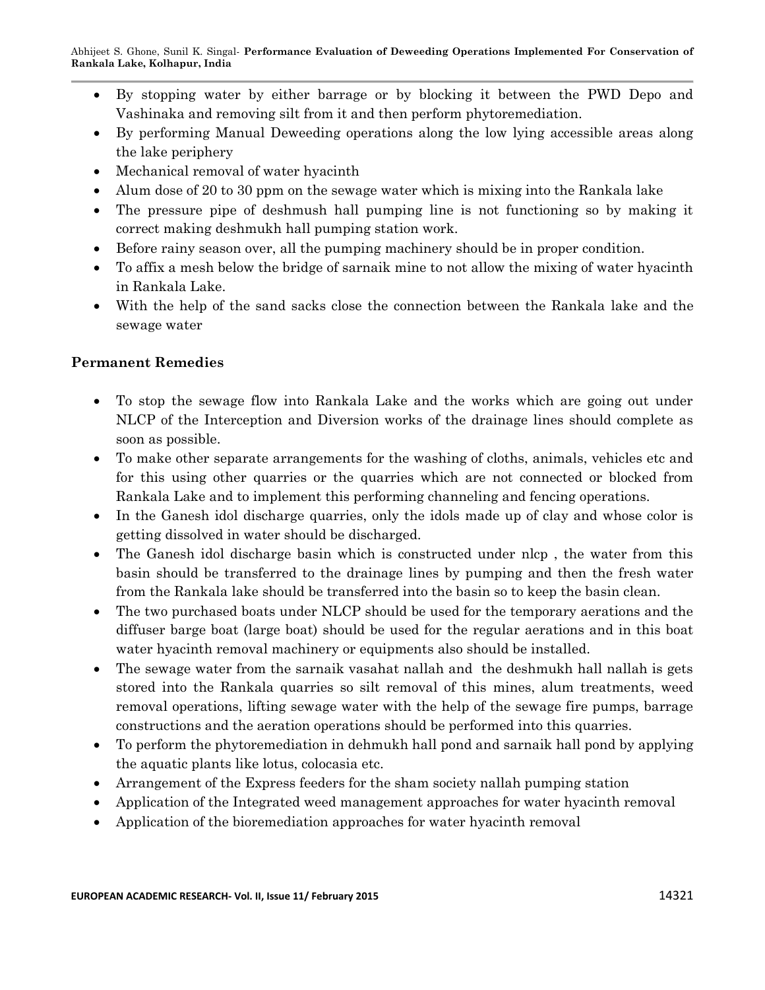- By stopping water by either barrage or by blocking it between the PWD Depo and Vashinaka and removing silt from it and then perform phytoremediation.
- By performing Manual Deweeding operations along the low lying accessible areas along the lake periphery
- Mechanical removal of water hyacinth
- Alum dose of 20 to 30 ppm on the sewage water which is mixing into the Rankala lake
- The pressure pipe of deshmush hall pumping line is not functioning so by making it correct making deshmukh hall pumping station work.
- Before rainy season over, all the pumping machinery should be in proper condition.
- To affix a mesh below the bridge of sarnaik mine to not allow the mixing of water hyacinth in Rankala Lake.
- With the help of the sand sacks close the connection between the Rankala lake and the sewage water

# **Permanent Remedies**

- To stop the sewage flow into Rankala Lake and the works which are going out under NLCP of the Interception and Diversion works of the drainage lines should complete as soon as possible.
- To make other separate arrangements for the washing of cloths, animals, vehicles etc and for this using other quarries or the quarries which are not connected or blocked from Rankala Lake and to implement this performing channeling and fencing operations.
- In the Ganesh idol discharge quarries, only the idols made up of clay and whose color is getting dissolved in water should be discharged.
- The Ganesh idol discharge basin which is constructed under nlcp, the water from this basin should be transferred to the drainage lines by pumping and then the fresh water from the Rankala lake should be transferred into the basin so to keep the basin clean.
- The two purchased boats under NLCP should be used for the temporary aerations and the diffuser barge boat (large boat) should be used for the regular aerations and in this boat water hyacinth removal machinery or equipments also should be installed.
- The sewage water from the sarnaik vasahat nallah and the deshmukh hall nallah is gets stored into the Rankala quarries so silt removal of this mines, alum treatments, weed removal operations, lifting sewage water with the help of the sewage fire pumps, barrage constructions and the aeration operations should be performed into this quarries.
- To perform the phytoremediation in dehmukh hall pond and sarnaik hall pond by applying the aquatic plants like lotus, colocasia etc.
- Arrangement of the Express feeders for the sham society nallah pumping station
- Application of the Integrated weed management approaches for water hyacinth removal
- Application of the bioremediation approaches for water hyacinth removal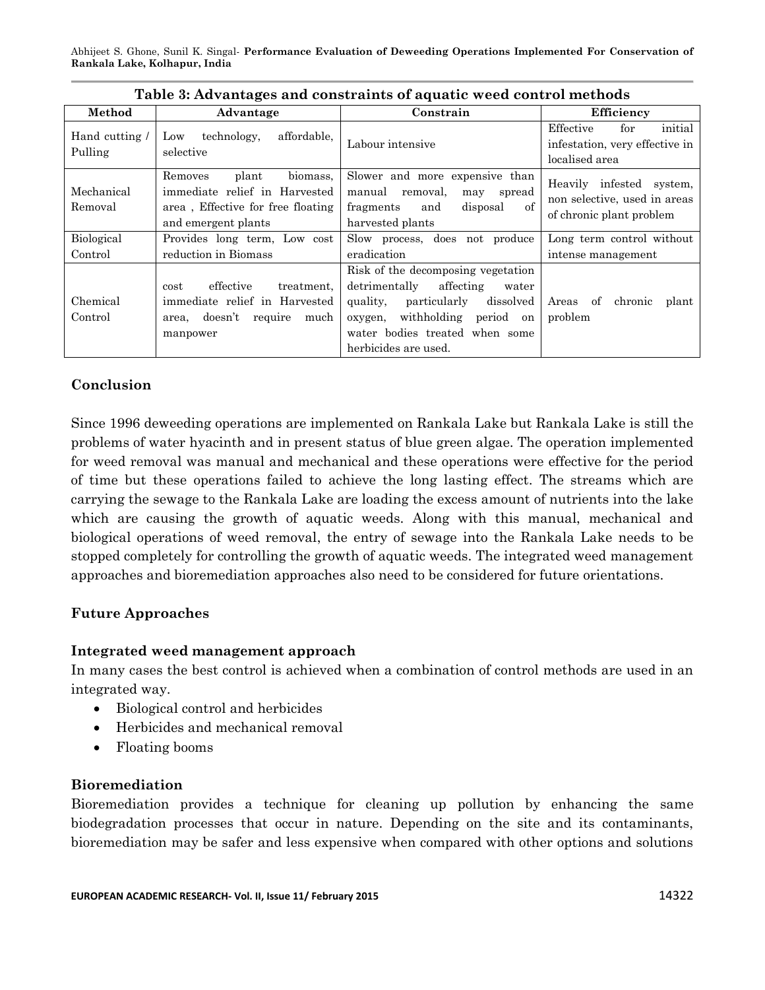| Table 3: Advantages and constraints of aquatic weed control methods |                                                                                                                           |                                                                                                                                                                                                                  |                                                                                      |  |
|---------------------------------------------------------------------|---------------------------------------------------------------------------------------------------------------------------|------------------------------------------------------------------------------------------------------------------------------------------------------------------------------------------------------------------|--------------------------------------------------------------------------------------|--|
| Method                                                              | Advantage                                                                                                                 | Constrain                                                                                                                                                                                                        | Efficiency                                                                           |  |
| Hand cutting /<br>Pulling                                           | affordable,<br>technology,<br>Low<br>selective                                                                            | Labour intensive                                                                                                                                                                                                 | initial<br>Effective<br>for<br>infestation, very effective in<br>localised area      |  |
| Mechanical<br>Removal                                               | biomass.<br>plant<br>Removes<br>immediate relief in Harvested<br>area, Effective for free floating<br>and emergent plants | Slower and more expensive than<br>manual<br>spread<br>removal,<br>may<br>of<br>disposal<br>fragments<br>and<br>harvested plants                                                                                  | Heavily infested system,<br>non selective, used in areas<br>of chronic plant problem |  |
| Biological                                                          | Provides long term, Low cost                                                                                              | Slow process, does not produce                                                                                                                                                                                   | Long term control without                                                            |  |
| Control                                                             | reduction in Biomass                                                                                                      | eradication                                                                                                                                                                                                      | intense management                                                                   |  |
| Chemical<br>Control                                                 | effective<br>treatment,<br>cost<br>immediate relief in Harvested<br>doesn't<br>require<br>much<br>area,<br>manpower       | Risk of the decomposing vegetation<br>detrimentally<br>affecting<br>water<br>dissolved<br>quality,<br>particularly<br>withholding period on<br>oxygen,<br>water bodies treated when some<br>herbicides are used. | chronic<br>Areas of<br>plant<br>problem                                              |  |

# **Conclusion**

Since 1996 deweeding operations are implemented on Rankala Lake but Rankala Lake is still the problems of water hyacinth and in present status of blue green algae. The operation implemented for weed removal was manual and mechanical and these operations were effective for the period of time but these operations failed to achieve the long lasting effect. The streams which are carrying the sewage to the Rankala Lake are loading the excess amount of nutrients into the lake which are causing the growth of aquatic weeds. Along with this manual, mechanical and biological operations of weed removal, the entry of sewage into the Rankala Lake needs to be stopped completely for controlling the growth of aquatic weeds. The integrated weed management approaches and bioremediation approaches also need to be considered for future orientations.

### **Future Approaches**

### **Integrated weed management approach**

In many cases the best control is achieved when a combination of control methods are used in an integrated way.

- Biological control and herbicides
- Herbicides and mechanical removal
- Floating booms

#### **Bioremediation**

Bioremediation provides a technique for cleaning up pollution by enhancing the same biodegradation processes that occur in nature. Depending on the site and its contaminants, bioremediation may be safer and less expensive when compared with other options and solutions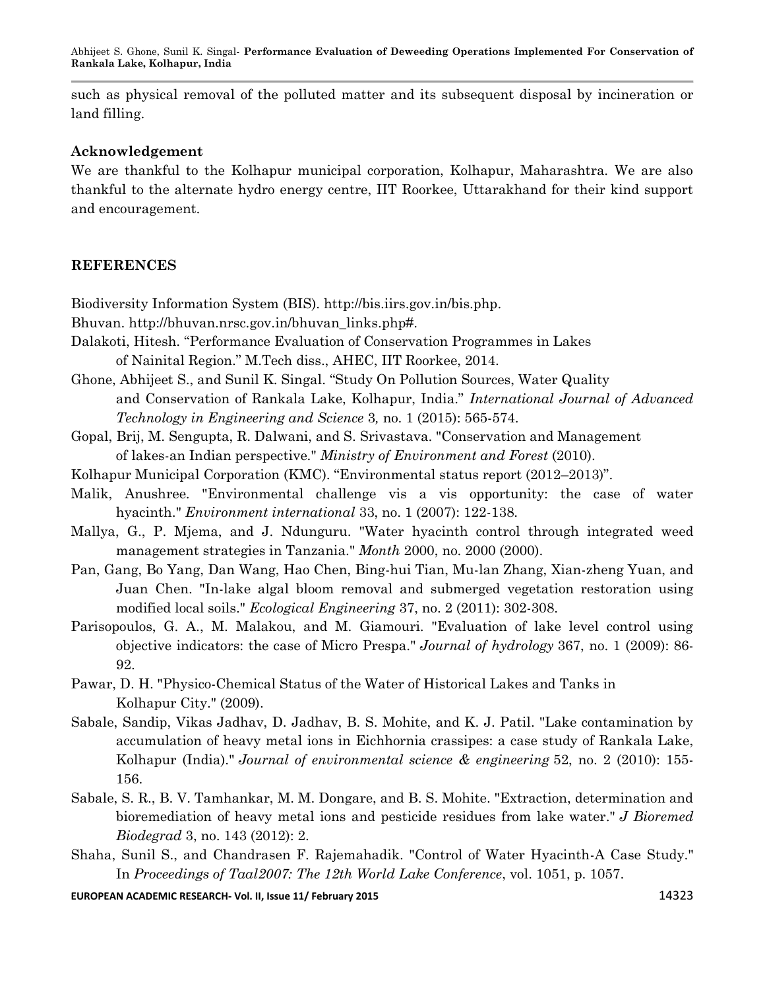such as physical removal of the polluted matter and its subsequent disposal by incineration or land filling.

#### **Acknowledgement**

We are thankful to the Kolhapur municipal corporation, Kolhapur, Maharashtra. We are also thankful to the alternate hydro energy centre, IIT Roorkee, Uttarakhand for their kind support and encouragement.

### **REFERENCES**

Biodiversity Information System (BIS). http://bis.iirs.gov.in/bis.php.

Bhuvan. [http://bhuvan.nrsc.gov.in/bhuvan\\_links.php#.](http://bhuvan.nrsc.gov.in/bhuvan_links.php)

Dalakoti, Hitesh. "Performance Evaluation of Conservation Programmes in Lakes of Nainital Region." M.Tech diss., AHEC, IIT Roorkee, 2014.

Ghone, Abhijeet S., and Sunil K. Singal. "Study On Pollution Sources, Water Quality and Conservation of Rankala Lake, Kolhapur, India." *International Journal of Advanced Technology in Engineering and Science* 3*,* no. 1 (2015): 565-574.

- Gopal, Brij, M. Sengupta, R. Dalwani, and S. Srivastava. "Conservation and Management of lakes-an Indian perspective." *Ministry of Environment and Forest* (2010).
- Kolhapur Municipal Corporation (KMC). "Environmental status report (2012–2013)".
- Malik, Anushree. "Environmental challenge vis a vis opportunity: the case of water hyacinth." *Environment international* 33, no. 1 (2007): 122-138.
- Mallya, G., P. Mjema, and J. Ndunguru. "Water hyacinth control through integrated weed management strategies in Tanzania." *Month* 2000, no. 2000 (2000).
- Pan, Gang, Bo Yang, Dan Wang, Hao Chen, Bing-hui Tian, Mu-lan Zhang, Xian-zheng Yuan, and Juan Chen. "In-lake algal bloom removal and submerged vegetation restoration using modified local soils." *Ecological Engineering* 37, no. 2 (2011): 302-308.
- Parisopoulos, G. A., M. Malakou, and M. Giamouri. "Evaluation of lake level control using objective indicators: the case of Micro Prespa." *Journal of hydrology* 367, no. 1 (2009): 86- 92.
- Pawar, D. H. "Physico-Chemical Status of the Water of Historical Lakes and Tanks in Kolhapur City." (2009).
- Sabale, Sandip, Vikas Jadhav, D. Jadhav, B. S. Mohite, and K. J. Patil. "Lake contamination by accumulation of heavy metal ions in Eichhornia crassipes: a case study of Rankala Lake, Kolhapur (India)." *Journal of environmental science & engineering* 52, no. 2 (2010): 155- 156.
- Sabale, S. R., B. V. Tamhankar, M. M. Dongare, and B. S. Mohite. "Extraction, determination and bioremediation of heavy metal ions and pesticide residues from lake water." *J Bioremed Biodegrad* 3, no. 143 (2012): 2.
- Shaha, Sunil S., and Chandrasen F. Rajemahadik. "Control of Water Hyacinth-A Case Study." In *Proceedings of Taal2007: The 12th World Lake Conference*, vol. 1051, p. 1057.